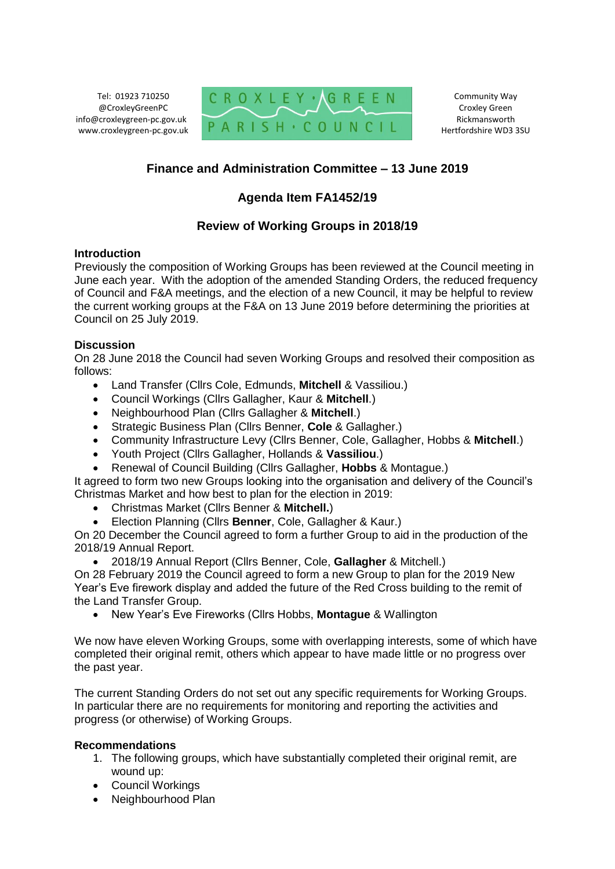Tel: 01923 710250 @CroxleyGreenPC info@croxleygreen-pc.gov.uk www.croxleygreen-pc.gov.uk



Community Way Croxley Green Rickmansworth Hertfordshire WD3 3SU

# **Finance and Administration Committee – 13 June 2019**

# **Agenda Item FA1452/19**

### **Review of Working Groups in 2018/19**

### **Introduction**

Previously the composition of Working Groups has been reviewed at the Council meeting in June each year. With the adoption of the amended Standing Orders, the reduced frequency of Council and F&A meetings, and the election of a new Council, it may be helpful to review the current working groups at the F&A on 13 June 2019 before determining the priorities at Council on 25 July 2019.

### **Discussion**

On 28 June 2018 the Council had seven Working Groups and resolved their composition as follows:

- Land Transfer (Cllrs Cole, Edmunds, **Mitchell** & Vassiliou.)
- Council Workings (Cllrs Gallagher, Kaur & **Mitchell**.)
- Neighbourhood Plan (Cllrs Gallagher & **Mitchell**.)
- Strategic Business Plan (Cllrs Benner, **Cole** & Gallagher.)
- Community Infrastructure Levy (Cllrs Benner, Cole, Gallagher, Hobbs & **Mitchell**.)
- Youth Project (Cllrs Gallagher, Hollands & **Vassiliou**.)
- Renewal of Council Building (Cllrs Gallagher, **Hobbs** & Montague.)

It agreed to form two new Groups looking into the organisation and delivery of the Council's Christmas Market and how best to plan for the election in 2019:

- Christmas Market (Cllrs Benner & **Mitchell.**)
- Election Planning (Cllrs **Benner**, Cole, Gallagher & Kaur.)

On 20 December the Council agreed to form a further Group to aid in the production of the 2018/19 Annual Report.

2018/19 Annual Report (Cllrs Benner, Cole, **Gallagher** & Mitchell.)

On 28 February 2019 the Council agreed to form a new Group to plan for the 2019 New Year's Eve firework display and added the future of the Red Cross building to the remit of the Land Transfer Group.

New Year's Eve Fireworks (Cllrs Hobbs, **Montague** & Wallington

We now have eleven Working Groups, some with overlapping interests, some of which have completed their original remit, others which appear to have made little or no progress over the past year.

The current Standing Orders do not set out any specific requirements for Working Groups. In particular there are no requirements for monitoring and reporting the activities and progress (or otherwise) of Working Groups.

#### **Recommendations**

- 1. The following groups, which have substantially completed their original remit, are wound up:
- Council Workings
- Neighbourhood Plan